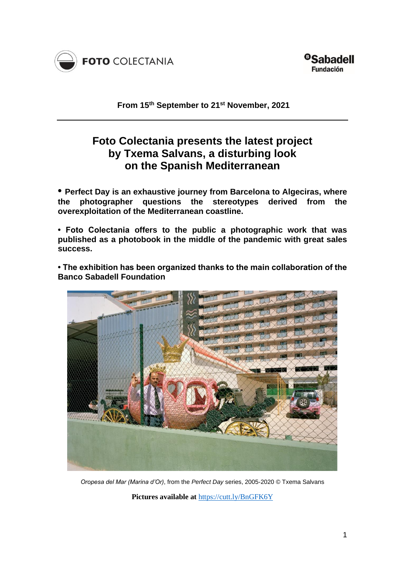

**From 15 th September to 21st November, 2021**

# **Foto Colectania presents the latest project by Txema Salvans, a disturbing look on the Spanish Mediterranean**

**• Perfect Day is an exhaustive journey from Barcelona to Algeciras, where the photographer questions the stereotypes derived from the overexploitation of the Mediterranean coastline.**

**• Foto Colectania offers to the public a photographic work that was published as a photobook in the middle of the pandemic with great sales success.**

**• The exhibition has been organized thanks to the main collaboration of the Banco Sabadell Foundation**



*Oropesa del Mar (Marina d'Or)*, from the *Perfect Day* series, 2005-2020 © Txema Salvans

**Pictures available at** <https://cutt.ly/BnGFK6Y>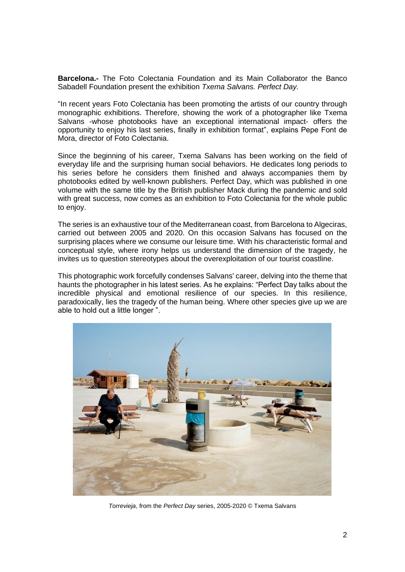**Barcelona.-** The Foto Colectania Foundation and its Main Collaborator the Banco Sabadell Foundation present the exhibition *Txema Salvans. Perfect Day.*

"In recent years Foto Colectania has been promoting the artists of our country through monographic exhibitions. Therefore, showing the work of a photographer like Txema Salvans -whose photobooks have an exceptional international impact- offers the opportunity to enjoy his last series, finally in exhibition format", explains Pepe Font de Mora, director of Foto Colectania.

Since the beginning of his career, Txema Salvans has been working on the field of everyday life and the surprising human social behaviors. He dedicates long periods to his series before he considers them finished and always accompanies them by photobooks edited by well-known publishers. Perfect Day, which was published in one volume with the same title by the British publisher Mack during the pandemic and sold with great success, now comes as an exhibition to Foto Colectania for the whole public to enjoy.

The series is an exhaustive tour of the Mediterranean coast, from Barcelona to Algeciras, carried out between 2005 and 2020. On this occasion Salvans has focused on the surprising places where we consume our leisure time. With his characteristic formal and conceptual style, where irony helps us understand the dimension of the tragedy, he invites us to question stereotypes about the overexploitation of our tourist coastline.

This photographic work forcefully condenses Salvans' career, delving into the theme that haunts the photographer in his latest series. As he explains: "Perfect Day talks about the incredible physical and emotional resilience of our species. In this resilience, paradoxically, lies the tragedy of the human being. Where other species give up we are able to hold out a little longer ".



*Torrevieja*, from the *Perfect Day* series, 2005-2020 © Txema Salvans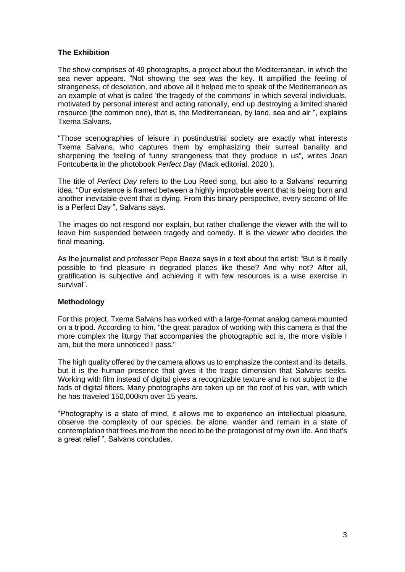# **The Exhibition**

The show comprises of 49 photographs, a project about the Mediterranean, in which the sea never appears. "Not showing the sea was the key. It amplified the feeling of strangeness, of desolation, and above all it helped me to speak of the Mediterranean as an example of what is called 'the tragedy of the commons' in which several individuals, motivated by personal interest and acting rationally, end up destroying a limited shared resource (the common one), that is, the Mediterranean, by land, sea and air ", explains Txema Salvans.

"Those scenographies of leisure in postindustrial society are exactly what interests Txema Salvans, who captures them by emphasizing their surreal banality and sharpening the feeling of funny strangeness that they produce in us", writes Joan Fontcuberta in the photobook *Perfect Day* (Mack editorial, 2020 ).

The title of *Perfect Day* refers to the Lou Reed song, but also to a Salvans' recurring idea. "Our existence is framed between a highly improbable event that is being born and another inevitable event that is dying. From this binary perspective, every second of life is a Perfect Day ", Salvans says.

The images do not respond nor explain, but rather challenge the viewer with the will to leave him suspended between tragedy and comedy. It is the viewer who decides the final meaning.

As the journalist and professor Pepe Baeza says in a text about the artist: "But is it really possible to find pleasure in degraded places like these? And why not? After all, gratification is subjective and achieving it with few resources is a wise exercise in survival".

## **Methodology**

For this project, Txema Salvans has worked with a large-format analog camera mounted on a tripod. According to him, "the great paradox of working with this camera is that the more complex the liturgy that accompanies the photographic act is, the more visible I am, but the more unnoticed I pass."

The high quality offered by the camera allows us to emphasize the context and its details, but it is the human presence that gives it the tragic dimension that Salvans seeks. Working with film instead of digital gives a recognizable texture and is not subject to the fads of digital filters. Many photographs are taken up on the roof of his van, with which he has traveled 150,000km over 15 years.

"Photography is a state of mind, it allows me to experience an intellectual pleasure, observe the complexity of our species, be alone, wander and remain in a state of contemplation that frees me from the need to be the protagonist of my own life. And that's a great relief ", Salvans concludes.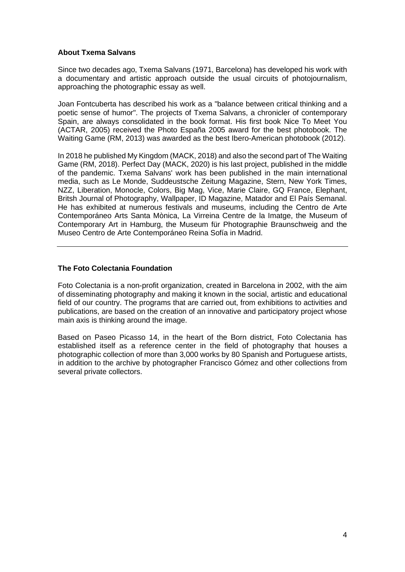## **About Txema Salvans**

Since two decades ago, Txema Salvans (1971, Barcelona) has developed his work with a documentary and artistic approach outside the usual circuits of photojournalism, approaching the photographic essay as well.

Joan Fontcuberta has described his work as a "balance between critical thinking and a poetic sense of humor". The projects of Txema Salvans, a chronicler of contemporary Spain, are always consolidated in the book format. His first book Nice To Meet You (ACTAR, 2005) received the Photo España 2005 award for the best photobook. The Waiting Game (RM, 2013) was awarded as the best Ibero-American photobook (2012).

In 2018 he published My Kingdom (MACK, 2018) and also the second part of The Waiting Game (RM, 2018). Perfect Day (MACK, 2020) is his last project, published in the middle of the pandemic. Txema Salvans' work has been published in the main international media, such as Le Monde, Suddeustsche Zeitung Magazine, Stern, New York Times, NZZ, Liberation, Monocle, Colors, Big Mag, Vice, Marie Claire, GQ France, Elephant, Britsh Journal of Photography, Wallpaper, ID Magazine, Matador and El País Semanal. He has exhibited at numerous festivals and museums, including the Centro de Arte Contemporáneo Arts Santa Mònica, La Virreina Centre de la Imatge, the Museum of Contemporary Art in Hamburg, the Museum für Photographie Braunschweig and the Museo Centro de Arte Contemporáneo Reina Sofía in Madrid.

#### **The Foto Colectania Foundation**

Foto Colectania is a non-profit organization, created in Barcelona in 2002, with the aim of disseminating photography and making it known in the social, artistic and educational field of our country. The programs that are carried out, from exhibitions to activities and publications, are based on the creation of an innovative and participatory project whose main axis is thinking around the image.

Based on Paseo Picasso 14, in the heart of the Born district, Foto Colectania has established itself as a reference center in the field of photography that houses a photographic collection of more than 3,000 works by 80 Spanish and Portuguese artists, in addition to the archive by photographer Francisco Gómez and other collections from several private collectors.